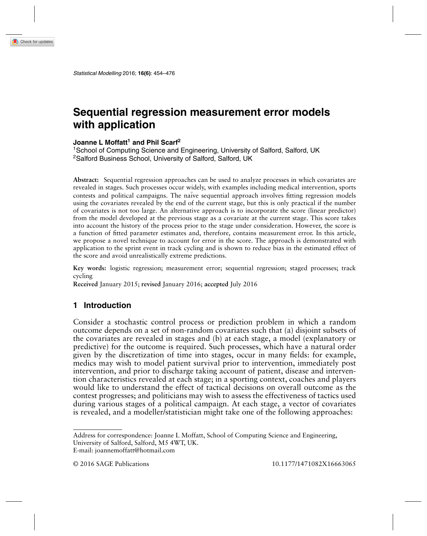# **Sequential regression measurement error models with application**

#### **Joanne L Moffatt<sup>1</sup> and Phil Scarf<sup>2</sup>**

<sup>1</sup> School of Computing Science and Engineering, University of Salford, Salford, UK 2Salford Business School, University of Salford, Salford, UK

**Abstract:** Sequential regression approaches can be used to analyze processes in which covariates are revealed in stages. Such processes occur widely, with examples including medical intervention, sports contests and political campaigns. The naïve sequential approach involves fitting regression models using the covariates revealed by the end of the current stage, but this is only practical if the number of covariates is not too large. An alternative approach is to incorporate the score (linear predictor) from the model developed at the previous stage as a covariate at the current stage. This score takes into account the history of the process prior to the stage under consideration. However, the score is a function of fitted parameter estimates and, therefore, contains measurement error. In this article, we propose a novel technique to account for error in the score. The approach is demonstrated with application to the sprint event in track cycling and is shown to reduce bias in the estimated effect of the score and avoid unrealistically extreme predictions.

**Key words:** logistic regression; measurement error; sequential regression; staged processes; track cycling

**Received** January 2015; **revised** January 2016; **accepted** July 2016

#### **1 Introduction**

Consider a stochastic control process or prediction problem in which a random outcome depends on a set of non-random covariates such that (a) disjoint subsets of the covariates are revealed in stages and (b) at each stage, a model (explanatory or predictive) for the outcome is required. Such processes, which have a natural order given by the discretization of time into stages, occur in many fields: for example, medics may wish to model patient survival prior to intervention, immediately post intervention, and prior to discharge taking account of patient, disease and intervention characteristics revealed at each stage; in a sporting context, coaches and players would like to understand the effect of tactical decisions on overall outcome as the contest progresses; and politicians may wish to assess the effectiveness of tactics used during various stages of a political campaign. At each stage, a vector of covariates is revealed, and a modeller/statistician might take one of the following approaches:

Address for correspondence: Joanne L Moffatt, School of Computing Science and Engineering,

University of Salford, Salford, M5 4WT, UK.

E-mail: joannemoffatt@hotmail.com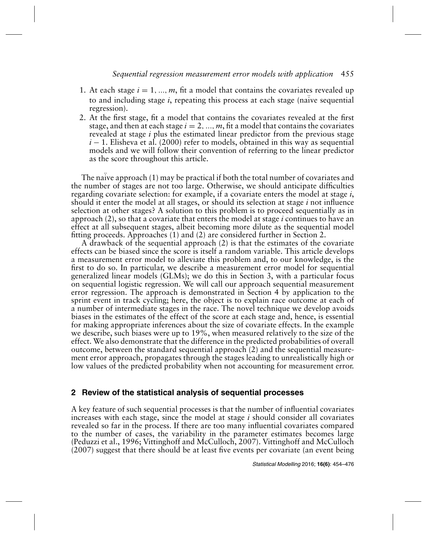- 1. At each stage  $i = 1, ..., m$ , fit a model that contains the covariates revealed up to and including stage *i*, repeating this process at each stage (naïve sequential regression).
- 2. At the first stage, fit a model that contains the covariates revealed at the first stage, and then at each stage  $i = 2, ..., m$ , fit a model that contains the covariates revealed at stage *i* plus the estimated linear predictor from the previous stage *i* − 1. Elisheva et al. (2000) refer to models, obtained in this way as sequential models and we will follow their convention of referring to the linear predictor as the score throughout this article.

The naïve approach (1) may be practical if both the total number of covariates and the number of stages are not too large. Otherwise, we should anticipate difficulties regarding covariate selection: for example, if a covariate enters the model at stage *i*, should it enter the model at all stages, or should its selection at stage *i* not influence selection at other stages? A solution to this problem is to proceed sequentially as in approach (2), so that a covariate that enters the model at stage *i* continues to have an effect at all subsequent stages, albeit becoming more dilute as the sequential model fitting proceeds. Approaches (1) and (2) are considered further in Section 2.

A drawback of the sequential approach (2) is that the estimates of the covariate effects can be biased since the score is itself a random variable. This article develops a measurement error model to alleviate this problem and, to our knowledge, is the first to do so. In particular, we describe a measurement error model for sequential generalized linear models (GLMs); we do this in Section 3, with a particular focus on sequential logistic regression. We will call our approach sequential measurement error regression. The approach is demonstrated in Section 4 by application to the sprint event in track cycling; here, the object is to explain race outcome at each of a number of intermediate stages in the race. The novel technique we develop avoids biases in the estimates of the effect of the score at each stage and, hence, is essential for making appropriate inferences about the size of covariate effects. In the example we describe, such biases were up to 19%, when measured relatively to the size of the effect. We also demonstrate that the difference in the predicted probabilities of overall outcome, between the standard sequential approach (2) and the sequential measurement error approach, propagates through the stages leading to unrealistically high or low values of the predicted probability when not accounting for measurement error.

## **2 Review of the statistical analysis of sequential processes**

A key feature of such sequential processes is that the number of influential covariates increases with each stage, since the model at stage *i* should consider all covariates revealed so far in the process. If there are too many influential covariates compared to the number of cases, the variability in the parameter estimates becomes large (Peduzzi et al., 1996; Vittinghoff and McCulloch, 2007). Vittinghoff and McCulloch (2007) suggest that there should be at least five events per covariate (an event being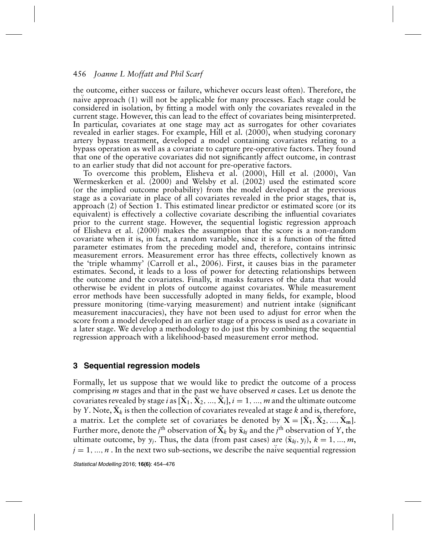the outcome, either success or failure, whichever occurs least often). Therefore, the naïve approach (1) will not be applicable for many processes. Each stage could be considered in isolation, by fitting a model with only the covariates revealed in the current stage. However, this can lead to the effect of covariates being misinterpreted. In particular, covariates at one stage may act as surrogates for other covariates revealed in earlier stages. For example, Hill et al. (2000), when studying coronary artery bypass treatment, developed a model containing covariates relating to a bypass operation as well as a covariate to capture pre-operative factors. They found that one of the operative covariates did not significantly affect outcome, in contrast to an earlier study that did not account for pre-operative factors.

To overcome this problem, Elisheva et al. (2000), Hill et al. (2000), Van Wermeskerken et al. (2000) and Welsby et al. (2002) used the estimated score (or the implied outcome probability) from the model developed at the previous stage as a covariate in place of all covariates revealed in the prior stages, that is, approach (2) of Section 1. This estimated linear predictor or estimated score (or its equivalent) is effectively a collective covariate describing the influential covariates prior to the current stage. However, the sequential logistic regression approach of Elisheva et al. (2000) makes the assumption that the score is a non-random covariate when it is, in fact, a random variable, since it is a function of the fitted parameter estimates from the preceding model and, therefore, contains intrinsic measurement errors. Measurement error has three effects, collectively known as the 'triple whammy' (Carroll et al., 2006). First, it causes bias in the parameter estimates. Second, it leads to a loss of power for detecting relationships between the outcome and the covariates. Finally, it masks features of the data that would otherwise be evident in plots of outcome against covariates. While measurement error methods have been successfully adopted in many fields, for example, blood pressure monitoring (time-varying measurement) and nutrient intake (significant measurement inaccuracies), they have not been used to adjust for error when the score from a model developed in an earlier stage of a process is used as a covariate in a later stage. We develop a methodology to do just this by combining the sequential regression approach with a likelihood-based measurement error method.

## **3 Sequential regression models**

Formally, let us suppose that we would like to predict the outcome of a process comprising *m* stages and that in the past we have observed *n* cases. Let us denote the covariates revealed by stage *i* as  $[\tilde{X}_1, \tilde{X}_2, ..., \tilde{X}_i], i = 1, ..., m$  and the ultimate outcome by *Y*. Note,  $\tilde{X}_k$  is then the collection of covariates revealed at stage *k* and is, therefore, a matrix. Let the complete set of covariates be denoted by  $X = [\tilde{X}_1, \tilde{X}_2, ..., \tilde{X}_m].$ Further more, denote the  $j^{\text{th}}$  observation of  $\tilde{\mathbf{X}}_k$  by  $\tilde{\mathbf{x}}_{kj}$  and the  $j^{\text{th}}$  observation of Y, the ultimate outcome, by  $y_i$ . Thus, the data (from past cases) are  $(\tilde{\mathbf{x}}_{ki}, y_i)$ ,  $k = 1, ..., m$ ,  $j = 1, ..., n$ . In the next two sub-sections, we describe the naïve sequential regression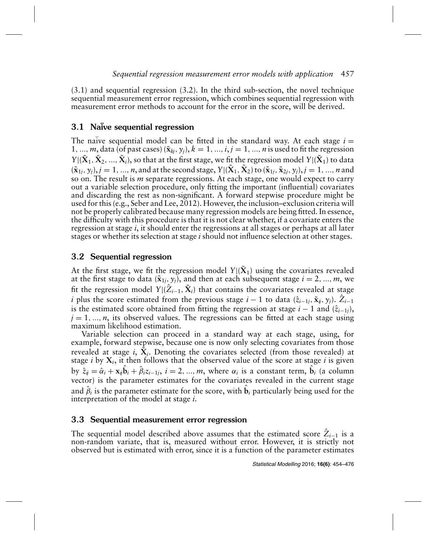(3.1) and sequential regression (3.2). In the third sub-section, the novel technique sequential measurement error regression, which combines sequential regression with measurement error methods to account for the error in the score, will be derived.

# 3.1 Naïve sequential regression

The naïve sequential model can be fitted in the standard way. At each stage  $i =$ 1, ..., m, data (of past cases)  $(\tilde{\mathbf{x}}_{ki}, y_j)$ ,  $k = 1, ..., i, j = 1, ..., n$  is used to fit the regression *Y*| $(\tilde{X}_1, \tilde{X}_2, ..., \tilde{X}_i)$ , so that at the first stage, we fit the regression model *Y*| $(\tilde{X}_1)$  to data  $(\tilde{\mathbf{x}}_{1i}, y_i)$ ,  $j = 1, ..., n$ , and at the second stage,  $Y|(\tilde{\mathbf{X}}_1, \tilde{\mathbf{X}}_2)$  to  $(\tilde{\mathbf{x}}_{1i}, \tilde{\mathbf{x}}_{2i}, y_i)$ ,  $j = 1, ..., n$  and so on. The result is *m* separate regressions. At each stage, one would expect to carry out a variable selection procedure, only fitting the important (influential) covariates and discarding the rest as non-significant. A forward stepwise procedure might be used for this (e.g., Seber and Lee, 2012). However, the inclusion–exclusion criteria will not be properly calibrated because many regression models are being fitted. In essence, the difficulty with this procedure is that it is not clear whether, if a covariate enters the regression at stage *i*, it should enter the regressions at all stages or perhaps at all later stages or whether its selection at stage *i* should not influence selection at other stages.

# 3.2 Sequential regression

At the first stage, we fit the regression model  $Y|(\tilde{\mathbf{X}}_1)$  using the covariates revealed at the first stage to data ( $\tilde{\mathbf{x}}_{1j}, y_j$ ), and then at each subsequent stage  $i = 2, ..., m$ , we fit the regression model *Y*|( $\hat{Z}_{i-1}$ ,  $\tilde{X}_i$ ) that contains the covariates revealed at stage *i* plus the score estimated from the previous stage *i* − 1 to data  $(\hat{z}_{i-1j}, \tilde{x}_{ij}, y_j)$ .  $Z_{i-1}$ is the estimated score obtained from fitting the regression at stage  $i - 1$  and  $(\hat{z}_{i-1j})$ ,  $j = 1, \ldots, n$ , its observed values. The regressions can be fitted at each stage using maximum likelihood estimation.

Variable selection can proceed in a standard way at each stage, using, for example, forward stepwise, because one is now only selecting covariates from those revealed at stage *i*,  $\tilde{X}_i$ . Denoting the covariates selected (from those revealed) at stage  $i$  by  $X_i$ , it then follows that the observed value of the score at stage  $i$  is given by  $\hat{z}_{ij} = \hat{\alpha}_i + \mathbf{x}_{ij}\hat{\mathbf{b}}_i + \hat{\beta}_i z_{i-1j}, i = 2, ..., m$ , where  $\alpha_i$  is a constant term,  $\hat{\mathbf{b}}_i$  (a column vector) is the parameter estimates for the covariates revealed in the current stage and  $\hat{\beta}_i$  is the parameter estimate for the score, with  $\hat{\textbf{b}}_i$  particularly being used for the interpretation of the model at stage *i*.

# 3.3 Sequential measurement error regression

The sequential model described above assumes that the estimated score  $\hat{Z}_{i-1}$  is a non-random variate, that is, measured without error. However, it is strictly not observed but is estimated with error, since it is a function of the parameter estimates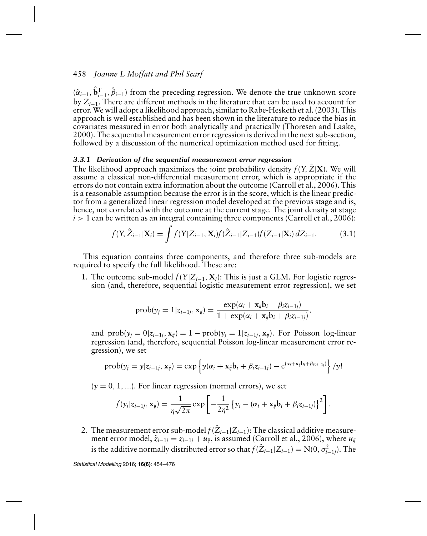$(\hat{\alpha}_{i-1}, \hat{\mathbf{b}}_{i-1}^T, \hat{\beta}_{i-1})$  from the preceding regression. We denote the true unknown score by *Zi*−1. There are different methods in the literature that can be used to account for error. We will adopt a likelihood approach, similar to Rabe-Hesketh et al. (2003). This approach is well established and has been shown in the literature to reduce the bias in covariates measured in error both analytically and practically (Thoresen and Laake, 2000). The sequential measurement error regression is derived in the next sub-section, followed by a discussion of the numerical optimization method used for fitting.

#### *3.3.1 Derivation of the sequential measurement error regression*

The likelihood approach maximizes the joint probability density  $f(Y, \hat{Z} | \mathbf{X})$ . We will assume a classical non-differential measurement error, which is appropriate if the errors do not contain extra information about the outcome (Carroll et al., 2006). This is a reasonable assumption because the error is in the score, which is the linear predictor from a generalized linear regression model developed at the previous stage and is, hence, not correlated with the outcome at the current stage. The joint density at stage  $i > 1$  can be written as an integral containing three components (Carroll et al., 2006):

$$
f(Y, \hat{Z}_{i-1} | \mathbf{X}_i) = \int f(Y | Z_{i-1}, \mathbf{X}_i) f(\hat{Z}_{i-1} | Z_{i-1}) f(Z_{i-1} | \mathbf{X}_i) dZ_{i-1}.
$$
 (3.1)

This equation contains three components, and therefore three sub-models are required to specify the full likelihood. These are:

1. The outcome sub-model  $f(Y|Z_{i-1}, X_i)$ : This is just a GLM. For logistic regression (and, therefore, sequential logistic measurement error regression), we set

$$
\text{prob}(y_j = 1 | z_{i-1j}, \mathbf{x}_{ij}) = \frac{\exp(\alpha_i + \mathbf{x}_{ij}\mathbf{b}_i + \beta_i z_{i-1j})}{1 + \exp(\alpha_i + \mathbf{x}_{ij}\mathbf{b}_i + \beta_i z_{i-1j})},
$$

and  $prob(y_i = 0 | z_{i-1} |, \mathbf{x}_{ij}) = 1 - prob(y_i = 1 | z_{i-1} |, \mathbf{x}_{ij})$ . For Poisson log-linear regression (and, therefore, sequential Poisson log-linear measurement error regression), we set

$$
\text{prob}(y_j = y | z_{i-1j}, \mathbf{x}_{ij}) = \exp \left\{ y(\alpha_i + \mathbf{x}_{ij} \mathbf{b}_i + \beta_i z_{i-1j}) - e^{(\alpha_i + \mathbf{x}_{ij} \mathbf{b}_i + \beta_i z_{i-1j})} \right\} / y!
$$

 $(y = 0, 1, \ldots)$ . For linear regression (normal errors), we set

$$
f(y_j|z_{i-1j}, \mathbf{x}_{ij}) = \frac{1}{\eta \sqrt{2\pi}} \exp \left[ -\frac{1}{2\eta^2} \left\{ y_j - (\alpha_i + \mathbf{x}_{ij} \mathbf{b}_i + \beta_i z_{i-1j}) \right\}^2 \right].
$$

2. The measurement error sub-model  $f(\hat{Z}_{i-1}|Z_{i-1})$ : The classical additive measurement error model,  $\hat{z}_{i-1j} = z_{i-1j} + u_{ij}$ , is assumed (Carroll et al., 2006), where  $u_{ij}$ is the additive normally distributed error so that  $f(\hat{Z}_{i-1}|Z_{i-1}) = \mathrm{N}(0, \sigma_{i-1j}^2)$ . The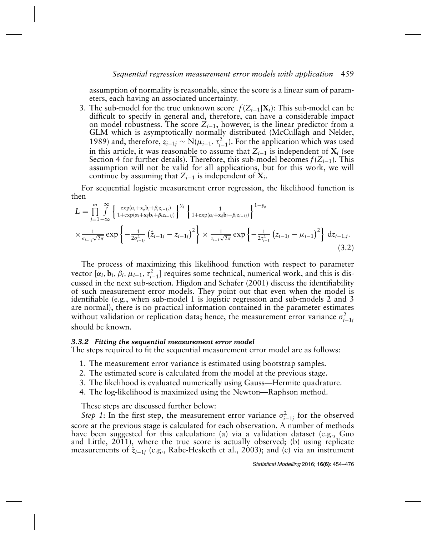assumption of normality is reasonable, since the score is a linear sum of parameters, each having an associated uncertainty.

3. The sub-model for the true unknown score  $f(Z_{i-1}|\mathbf{X}_i)$ : This sub-model can be difficult to specify in general and, therefore, can have a considerable impact on model robustness. The score  $Z_{i-1}$ , however, is the linear predictor from a GLM which is asymptotically normally distributed (McCullagh and Nelder, 1989) and, therefore,  $z_{i-1j} \sim N(\mu_{i-1}, \tau_{i-1}^2)$ . For the application which was used in this article, it was reasonable to assume that  $Z_{i-1}$  is independent of  $X_i$  (see Section 4 for further details). Therefore, this sub-model becomes *f*(*Zi*−1). This assumption will not be valid for all applications, but for this work, we will continue by assuming that  $Z_{i-1}$  is independent of  $X_i$ .

For sequential logistic measurement error regression, the likelihood function is then

$$
L = \prod_{j=1}^{m} \int_{-\infty}^{\infty} \left\{ \frac{\exp(\alpha_i + x_j b_i + \beta_i z_{i-1j})}{1 + \exp(\alpha_i + x_j b_i + \beta_i z_{i-1j})} \right\}^{y_{ij}} \left\{ \frac{1}{1 + \exp(\alpha_i + x_j b_i + \beta_i z_{i-1j})} \right\}^{1 - y_{ij}}
$$
  
 
$$
\times \frac{1}{\sigma_{i-1j}\sqrt{2\pi}} \exp\left\{ -\frac{1}{2\sigma_{i-1j}^2} \left( \hat{z}_{i-1j} - z_{i-1j} \right)^2 \right\} \times \frac{1}{\tau_{i-1}\sqrt{2\pi}} \exp\left\{ -\frac{1}{2\tau_{i-1}^2} \left( z_{i-1j} - \mu_{i-1} \right)^2 \right\} dz_{i-1,j}.
$$
(3.2)

The process of maximizing this likelihood function with respect to parameter vector  $[\alpha_i, \mathbf{b}_i, \beta_i, \mu_{i-1}, \tau_{i-1}^2]$  requires some technical, numerical work, and this is discussed in the next sub-section. Higdon and Schafer (2001) discuss the identifiability of such measurement error models. They point out that even when the model is identifiable (e.g., when sub-model 1 is logistic regression and sub-models 2 and 3 are normal), there is no practical information contained in the parameter estimates without validation or replication data; hence, the measurement error variance  $\sigma_{i-1j}^2$ should be known.

#### *3.3.2 Fitting the sequential measurement error model*

The steps required to fit the sequential measurement error model are as follows:

- 1. The measurement error variance is estimated using bootstrap samples.
- 2. The estimated score is calculated from the model at the previous stage.
- 3. The likelihood is evaluated numerically using Gauss—Hermite quadrature.
- 4. The log-likelihood is maximized using the Newton—Raphson method.

These steps are discussed further below:

*Step 1*: In the first step, the measurement error variance  $\sigma_{i-1j}^2$  for the observed score at the previous stage is calculated for each observation. A number of methods have been suggested for this calculation: (a) via a validation dataset (e.g., Guo and Little,  $2011$ ), where the true score is actually observed; (b) using replicate measurements of  $\hat{z}_{i-1j}$  (e.g., Rabe-Hesketh et al., 2003); and (c) via an instrument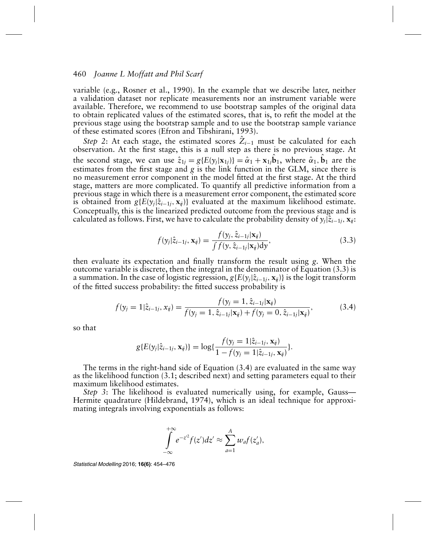variable (e.g., Rosner et al., 1990). In the example that we describe later, neither a validation dataset nor replicate measurements nor an instrument variable were available. Therefore, we recommend to use bootstrap samples of the original data to obtain replicated values of the estimated scores, that is, to refit the model at the previous stage using the bootstrap sample and to use the bootstrap sample variance of these estimated scores (Efron and Tibshirani, 1993).

*Step* 2: At each stage, the estimated scores  $Z_{i-1}$  must be calculated for each observation. At the first stage, this is a null step as there is no previous stage. At the second stage, we can use  $\hat{z}_{1j} = g\{E(y_j|\mathbf{x}_{1j})\} = \hat{\alpha}_1 + \mathbf{x}_{1j}\hat{\mathbf{b}}_1$ , where  $\hat{\alpha}_1, \hat{\mathbf{b}}_1$  are the estimates from the first stage and *g* is the link function in the GLM, since there is no measurement error component in the model fitted at the first stage. At the third stage, matters are more complicated. To quantify all predictive information from a previous stage in which there is a measurement error component, the estimated score is obtained from  $g\{E(y_i|\hat{z}_{i-1}, x_{ij})\}$  evaluated at the maximum likelihood estimate. Conceptually, this is the linearized predicted outcome from the previous stage and is calculated as follows. First, we have to calculate the probability density of  $y_j|\hat{z}_{i-1j}, x_{ji}$ :

$$
f(\mathbf{y}_j|\hat{z}_{i-1j}, \mathbf{x}_{ij}) = \frac{f(\mathbf{y}_j, \hat{z}_{i-1j}|\mathbf{x}_{ij})}{\int f(\mathbf{y}, \hat{z}_{i-1j}|\mathbf{x}_{ij}) d\mathbf{y}},
$$
\n(3.3)

then evaluate its expectation and finally transform the result using *g*. When the outcome variable is discrete, then the integral in the denominator of Equation (3.3) is a summation. In the case of logistic regression,  $g\{E(y_i|\hat{z}_{i-1j}, \mathbf{x}_{ij})\}$  is the logit transform of the fitted success probability: the fitted success probability is

$$
f(y_j = 1 | \hat{z}_{i-1j}, x_{ij}) = \frac{f(y_j = 1, \hat{z}_{i-1j} | \mathbf{x}_{ij})}{f(y_j = 1, \hat{z}_{i-1j} | \mathbf{x}_{ij}) + f(y_j = 0, \hat{z}_{i-1j} | \mathbf{x}_{ij})},
$$
(3.4)

so that

$$
g\{E(y_j|\hat{z}_{i-1j}, \mathbf{x}_{ij})\} = \log\{\frac{f(y_j=1|\hat{z}_{i-1j}, \mathbf{x}_{ij})}{1 - f(y_j=1|\hat{z}_{i-1j}, \mathbf{x}_{ij})}\}.
$$

The terms in the right-hand side of Equation (3.4) are evaluated in the same way as the likelihood function (3.1; described next) and setting parameters equal to their maximum likelihood estimates.

*Step 3*: The likelihood is evaluated numerically using, for example, Gauss— Hermite quadrature (Hildebrand, 1974), which is an ideal technique for approximating integrals involving exponentials as follows:

$$
\int_{-\infty}^{+\infty} e^{-z^2} f(z') dz' \approx \sum_{a=1}^A w_a f(z'_a),
$$

Statistical Modelling 2016; **16(6)**: 454–476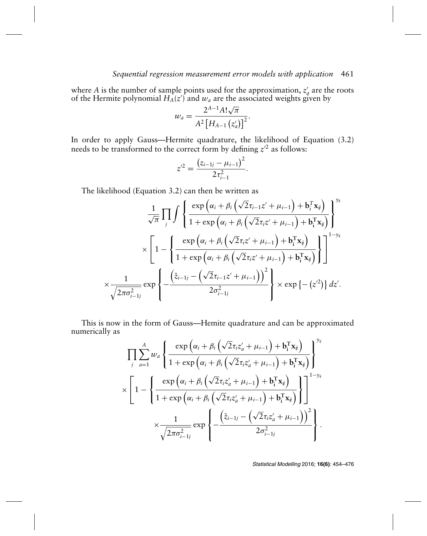where *A* is the number of sample points used for the approximation,  $z'_a$  are the roots of the Hermite polynomial  $H_A(z)$  and  $w_a$  are the associated weights given by

$$
w_a = \frac{2^{A-1} A! \sqrt{\pi}}{A^2 \left[ H_{A-1} \left( z_a' \right) \right]^2}.
$$

In order to apply Gauss—Hermite quadrature, the likelihood of Equation (3.2) needs to be transformed to the correct form by defining  $z^2$  as follows:

$$
z^{2} = \frac{(z_{i-1j} - \mu_{i-1})^2}{2\tau_{i-1}^2}.
$$

The likelihood (Equation 3.2) can then be written as

$$
\frac{1}{\sqrt{\pi}}\prod_{j}\int\left\{\frac{\exp\left(\alpha_{i}+\beta_{i}\left(\sqrt{2}\tau_{i-1}z'+\mu_{i-1}\right)+\mathbf{b}_{i}^{T}\mathbf{x}_{ij}\right)}{1+\exp\left(\alpha_{i}+\beta_{i}\left(\sqrt{2}\tau_{i}z'+\mu_{i-1}\right)+\mathbf{b}_{i}^{T}\mathbf{x}_{ij}\right)}\right\}^{y_{ij}}\times\left[1-\left\{\frac{\exp\left(\alpha_{i}+\beta_{i}\left(\sqrt{2}\tau_{i}z'+\mu_{i-1}\right)+\mathbf{b}_{i}^{T}\mathbf{x}_{ij}\right)}{1+\exp\left(\alpha_{i}+\beta_{i}\left(\sqrt{2}\tau_{i}z'+\mu_{i-1}\right)+\mathbf{b}_{i}^{T}\mathbf{x}_{ij}\right)}\right\}\right]^{1-y_{ij}}\times\frac{1}{\sqrt{2\pi\sigma_{i-1}^{2}}}\exp\left\{-\frac{\left(\hat{z}_{i-1j}-\left(\sqrt{2}\tau_{i-1}z'+\mu_{i-1}\right)\right)^{2}}{2\sigma_{i-1j}^{2}}\right\}\times\exp\left\{-\left(z'^{2}\right)\right\}dz'.
$$

This is now in the form of Gauss—Hemite quadrature and can be approximated numerically as

$$
\prod_{j} \sum_{a=1}^{A} w_a \left\{ \frac{\exp \left( \alpha_i + \beta_i \left( \sqrt{2} \tau_i z_a' + \mu_{i-1} \right) + \mathbf{b}_i^{\mathrm{T}} \mathbf{x}_{ij} \right)}{1 + \exp \left( \alpha_i + \beta_i \left( \sqrt{2} \tau_i z_a' + \mu_{i-1} \right) + \mathbf{b}_i^{\mathrm{T}} \mathbf{x}_{ij} \right)} \right\}^{\mathcal{Y}_{ij}} \times \left[ 1 - \left\{ \frac{\exp \left( \alpha_i + \beta_i \left( \sqrt{2} \tau_i z_a' + \mu_{i-1} \right) + \mathbf{b}_i^{\mathrm{T}} \mathbf{x}_{ij} \right)}{1 + \exp \left( \alpha_i + \beta_i \left( \sqrt{2} \tau_i z_a' + \mu_{i-1} \right) + \mathbf{b}_i^{\mathrm{T}} \mathbf{x}_{ij} \right)} \right\} \right\}^{\mathcal{Y}_{ij}} \times \frac{1}{\sqrt{2 \pi \sigma_{i-1j}^2}} \exp \left\{ - \frac{\left( \hat{z}_{i-1j} - \left( \sqrt{2} \tau_i z_a' + \mu_{i-1} \right) \right)^2}{2 \sigma_{i-1j}^2} \right\}.
$$

Statistical Modelling 2016; **16(6)**: 454–476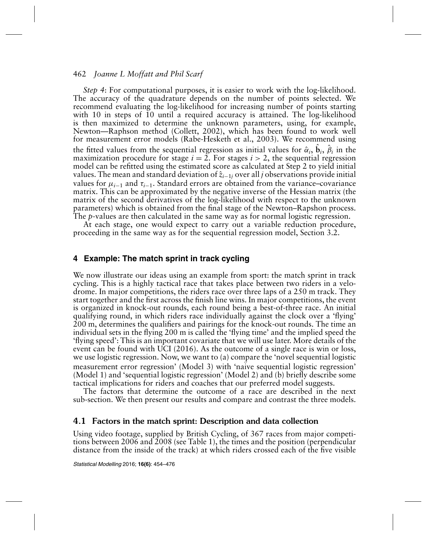*Step 4*: For computational purposes, it is easier to work with the log-likelihood. The accuracy of the quadrature depends on the number of points selected. We recommend evaluating the log-likelihood for increasing number of points starting with 10 in steps of 10 until a required accuracy is attained. The log-likelihood is then maximized to determine the unknown parameters, using, for example, Newton—Raphson method (Collett, 2002), which has been found to work well for measurement error models (Rabe-Hesketh et al., 2003). We recommend using the fitted values from the sequential regression as initial values for  $\hat{\alpha}_i$ ,  $\hat{\beta}_i$ ,  $\hat{\beta}_i$  in the maximization procedure for stage  $i = 2$ . For stages  $i > 2$ , the sequential regression model can be refitted using the estimated score as calculated at Step 2 to yield initial values. The mean and standard deviation of  $\hat{z}_{i-1j}$  over all *j* observations provide initial values for  $\mu_{i-1}$  and  $\tau_{i-1}$ . Standard errors are obtained from the variance–covariance matrix. This can be approximated by the negative inverse of the Hessian matrix (the matrix of the second derivatives of the log-likelihood with respect to the unknown parameters) which is obtained from the final stage of the Newton–Rapshon process. The *p*-values are then calculated in the same way as for normal logistic regression.

At each stage, one would expect to carry out a variable reduction procedure, proceeding in the same way as for the sequential regression model, Section 3.2.

## **4 Example: The match sprint in track cycling**

We now illustrate our ideas using an example from sport: the match sprint in track cycling. This is a highly tactical race that takes place between two riders in a velodrome. In major competitions, the riders race over three laps of a 250 m track. They start together and the first across the finish line wins. In major competitions, the event is organized in knock-out rounds, each round being a best-of-three race. An initial qualifying round, in which riders race individually against the clock over a 'flying' 200 m, determines the qualifiers and pairings for the knock-out rounds. The time an individual sets in the flying 200 m is called the 'flying time' and the implied speed the 'flying speed': This is an important covariate that we will use later. More details of the event can be found with UCI (2016). As the outcome of a single race is win or loss, we use logistic regression. Now, we want to (a) compare the 'novel sequential logistic measurement error regression' (Model 3) with 'naïve sequential logistic regression' (Model 1) and 'sequential logistic regression' (Model 2) and (b) briefly describe some tactical implications for riders and coaches that our preferred model suggests.

The factors that determine the outcome of a race are described in the next sub-section. We then present our results and compare and contrast the three models.

## 4.1 Factors in the match sprint: Description and data collection

Using video footage, supplied by British Cycling, of 367 races from major competitions between 2006 and 2008 (see Table 1), the times and the position (perpendicular distance from the inside of the track) at which riders crossed each of the five visible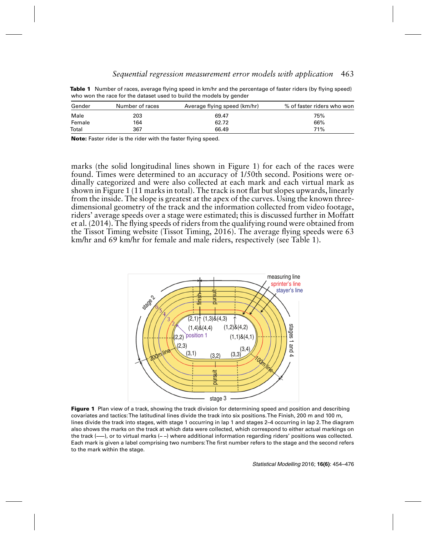| Gender | Number of races | Average flying speed (km/hr) | % of faster riders who won |
|--------|-----------------|------------------------------|----------------------------|
| Male   | 203             | 69.47                        | 75%                        |
| Female | 164             | 62.72                        | 66%                        |
| Total  | 367             | 66.49                        | 71%                        |

**Table 1** Number of races, average flying speed in km/hr and the percentage of faster riders (by flying speed) who won the race for the dataset used to build the models by gender

**Note:** Faster rider is the rider with the faster flying speed.

marks (the solid longitudinal lines shown in Figure 1) for each of the races were found. Times were determined to an accuracy of 1/50th second. Positions were ordinally categorized and were also collected at each mark and each virtual mark as shown in Figure 1 (11 marks in total). The track is not flat but slopes upwards, linearly from the inside. The slope is greatest at the apex of the curves. Using the known threedimensional geometry of the track and the information collected from video footage, riders' average speeds over a stage were estimated; this is discussed further in Moffatt et al. (2014). The flying speeds of riders from the qualifying round were obtained from the Tissot Timing website (Tissot Timing, 2016). The average flying speeds were 63 km/hr and 69 km/hr for female and male riders, respectively (see Table 1).



**Figure 1** Plan view of a track, showing the track division for determining speed and position and describing covariates and tactics:The latitudinal lines divide the track into six positions.The Finish, 200 m and 100 m, lines divide the track into stages, with stage 1 occurring in lap 1 and stages 2–4 occurring in lap 2.The diagram also shows the marks on the track at which data were collected, which correspond to either actual markings on the track (**–––**), or to virtual marks (**– –**) where additional information regarding riders' positions was collected. Each mark is given a label comprising two numbers:The first number refers to the stage and the second refers to the mark within the stage.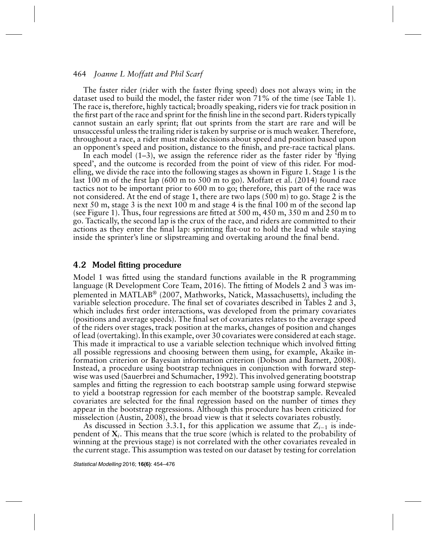The faster rider (rider with the faster flying speed) does not always win; in the dataset used to build the model, the faster rider won 71% of the time (see Table 1). The race is, therefore, highly tactical; broadly speaking, riders vie for track position in the first part of the race and sprint for the finish line in the second part. Riders typically cannot sustain an early sprint; flat out sprints from the start are rare and will be unsuccessful unless the trailing rider is taken by surprise or is much weaker. Therefore, throughout a race, a rider must make decisions about speed and position based upon an opponent's speed and position, distance to the finish, and pre-race tactical plans.

In each model  $(1-3)$ , we assign the reference rider as the faster rider by 'flying speed', and the outcome is recorded from the point of view of this rider. For modelling, we divide the race into the following stages as shown in Figure 1. Stage 1 is the last 100 m of the first lap (600 m to 500 m to go). Moffatt et al. (2014) found race tactics not to be important prior to 600 m to go; therefore, this part of the race was not considered. At the end of stage 1, there are two laps (500 m) to go. Stage 2 is the next 50 m, stage 3 is the next 100 m and stage 4 is the final 100 m of the second lap (see Figure 1). Thus, four regressions are fitted at 500 m, 450 m, 350 m and 250 m to go. Tactically, the second lap is the crux of the race, and riders are committed to their actions as they enter the final lap: sprinting flat-out to hold the lead while staying inside the sprinter's line or slipstreaming and overtaking around the final bend.

#### 4.2 Model fitting procedure

Model 1 was fitted using the standard functions available in the R programming language (R Development Core Team, 2016). The fitting of Models 2 and 3 was implemented in MATLAB® (2007, Mathworks, Natick, Massachusetts), including the variable selection procedure. The final set of covariates described in Tables 2 and 3, which includes first order interactions, was developed from the primary covariates (positions and average speeds). The final set of covariates relates to the average speed of the riders over stages, track position at the marks, changes of position and changes of lead (overtaking). In this example, over 30 covariates were considered at each stage. This made it impractical to use a variable selection technique which involved fitting all possible regressions and choosing between them using, for example, Akaike information criterion or Bayesian information criterion (Dobson and Barnett, 2008). Instead, a procedure using bootstrap techniques in conjunction with forward stepwise was used (Sauerbrei and Schumacher, 1992). This involved generating bootstrap samples and fitting the regression to each bootstrap sample using forward stepwise to yield a bootstrap regression for each member of the bootstrap sample. Revealed covariates are selected for the final regression based on the number of times they appear in the bootstrap regressions. Although this procedure has been criticized for misselection (Austin, 2008), the broad view is that it selects covariates robustly.

As discussed in Section 3.3.1, for this application we assume that *Zi*<sup>−</sup><sup>1</sup> is independent of **X***i*. This means that the true score (which is related to the probability of winning at the previous stage) is not correlated with the other covariates revealed in the current stage. This assumption was tested on our dataset by testing for correlation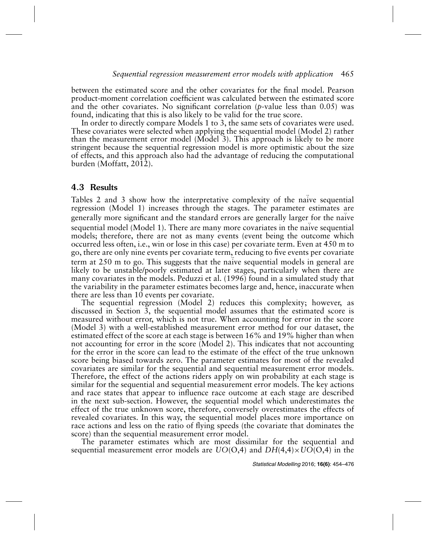between the estimated score and the other covariates for the final model. Pearson product-moment correlation coefficient was calculated between the estimated score and the other covariates. No significant correlation (*p*-value less than 0.05) was found, indicating that this is also likely to be valid for the true score.

In order to directly compare Models 1 to 3, the same sets of covariates were used. These covariates were selected when applying the sequential model (Model 2) rather than the measurement error model (Model 3). This approach is likely to be more stringent because the sequential regression model is more optimistic about the size of effects, and this approach also had the advantage of reducing the computational burden (Moffatt, 2012).

# 4.3 Results

Tables 2 and 3 show how the interpretative complexity of the naïve sequential regression (Model 1) increases through the stages. The parameter estimates are generally more significant and the standard errors are generally larger for the naïve sequential model (Model 1). There are many more covariates in the naïve sequential models; therefore, there are not as many events (event being the outcome which occurred less often, i.e., win or lose in this case) per covariate term. Even at 450 m to go, there are only nine events per covariate term, reducing to five events per covariate term at 250 m to go. This suggests that the naïve sequential models in general are likely to be unstable/poorly estimated at later stages, particularly when there are many covariates in the models. Peduzzi et al. (1996) found in a simulated study that the variability in the parameter estimates becomes large and, hence, inaccurate when there are less than 10 events per covariate.

The sequential regression (Model 2) reduces this complexity; however, as discussed in Section 3, the sequential model assumes that the estimated score is measured without error, which is not true. When accounting for error in the score (Model 3) with a well-established measurement error method for our dataset, the estimated effect of the score at each stage is between 16% and 19% higher than when not accounting for error in the score (Model 2). This indicates that not accounting for the error in the score can lead to the estimate of the effect of the true unknown score being biased towards zero. The parameter estimates for most of the revealed covariates are similar for the sequential and sequential measurement error models. Therefore, the effect of the actions riders apply on win probability at each stage is similar for the sequential and sequential measurement error models. The key actions and race states that appear to influence race outcome at each stage are described in the next sub-section. However, the sequential model which underestimates the effect of the true unknown score, therefore, conversely overestimates the effects of revealed covariates. In this way, the sequential model places more importance on race actions and less on the ratio of flying speeds (the covariate that dominates the score) than the sequential measurement error model.

The parameter estimates which are most dissimilar for the sequential and sequential measurement error models are *UO*(O,4) and *DH*(4,4)×*UO*(O,4) in the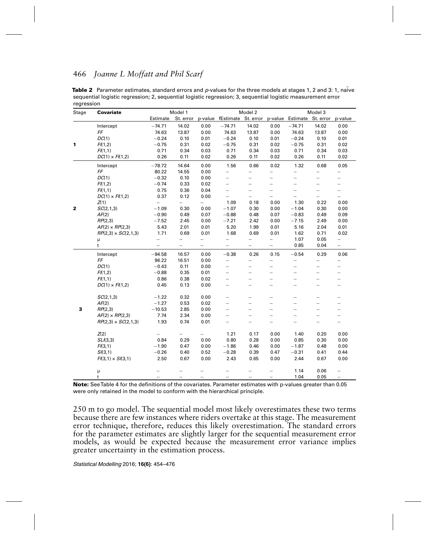| Stage        | <b>Covariate</b>           |                          | Model 1                  |                          |                                                                          | Model 2                  |                          |                          | Model 3                  |                          |
|--------------|----------------------------|--------------------------|--------------------------|--------------------------|--------------------------------------------------------------------------|--------------------------|--------------------------|--------------------------|--------------------------|--------------------------|
|              |                            | Estimate                 |                          |                          | St. error p-value fEstimate St. error p-value Estimate St. error p-value |                          |                          |                          |                          |                          |
|              | Intercept                  | $-74.71$                 | 14.02                    | 0.00                     | $-74.71$                                                                 | 14.02                    | 0.00                     | $-74.71$                 | 14.02                    | 0.00                     |
|              | FF                         | 74.63                    | 13.87                    | 0.00                     | 74.63                                                                    | 13.87                    | 0.00                     | 74.63                    | 13.87                    | 0.00                     |
|              | DC(1)                      | $-0.24$                  | 0.10                     | 0.01                     | $-0.24$                                                                  | 0.10                     | 0.01                     | $-0.24$                  | 0.10                     | 0.01                     |
| 1            | FI(1,2)                    | $-0.75$                  | 0.31                     | 0.02                     | $-0.75$                                                                  | 0.31                     | 0.02                     | $-0.75$                  | 0.31                     | 0.02                     |
|              | FI(1,1)                    | 0.71                     | 0.34                     | 0.03                     | 0.71                                                                     | 0.34                     | 0.03                     | 0.71                     | 0.34                     | 0.03                     |
|              | $DC(1) \times F(I,2)$      | 0.26                     | 0.11                     | 0.02                     | 0.26                                                                     | 0.11                     | 0.02                     | 0.26                     | 0.11                     | 0.02                     |
|              | Intercept                  | $-78.72$                 | 14.64                    | 0.00                     | 1.56                                                                     | 0.66                     | 0.02                     | 1.32                     | 0.68                     | 0.05                     |
|              | FF                         | 80.22                    | 14.55                    | 0.00                     | $\overline{\phantom{0}}$                                                 | $\overline{\phantom{0}}$ | $\overline{\phantom{0}}$ |                          | $\overline{\phantom{0}}$ | $\overline{\phantom{0}}$ |
|              | DC(1)                      | $-0.32$                  | 0.10                     | 0.00                     | $\qquad \qquad -$                                                        | $\overline{\phantom{0}}$ | $\overline{\phantom{0}}$ | $\overline{\phantom{0}}$ | —                        | $\overline{\phantom{0}}$ |
|              | FI(1,2)                    | $-0.74$                  | 0.33                     | 0.02                     | $\equiv$                                                                 | $\equiv$                 | $\overline{\phantom{0}}$ | $\overline{\phantom{0}}$ | $\overline{\phantom{0}}$ | $\overline{\phantom{0}}$ |
|              | FI(1,1)                    | 0.75                     | 0.36                     | 0.04                     | $\equiv$                                                                 | $\overline{\phantom{0}}$ | $\overline{\phantom{0}}$ | $\overline{\phantom{0}}$ | -                        | $\qquad \qquad -$        |
|              | $DC(1) \times F(I,2)$      | 0.37                     | 0.12                     | 0.00                     | $\equiv$                                                                 | $\equiv$                 | $\overline{\phantom{0}}$ | $\overline{\phantom{0}}$ | $\overline{\phantom{0}}$ | $\overline{\phantom{0}}$ |
|              | Z(1)                       | $=$                      | $\overline{\phantom{0}}$ | $\overline{\phantom{0}}$ | 1.09                                                                     | 0.18                     | 0.00                     | 1.30                     | 0.22                     | 0.00                     |
| $\mathbf{z}$ | SC(2,1,3)                  | $-1.09$                  | 0.30                     | 0.00                     | $-1.07$                                                                  | 0.30                     | 0.00                     | $-1.04$                  | 0.30                     | 0.00                     |
|              | AF(2)                      | $-0.90$                  | 0.49                     | 0.07                     | $-0.88$                                                                  | 0.48                     | 0.07                     | $-0.83$                  | 0.49                     | 0.09                     |
|              | RP(2,3)                    | $-7.52$                  | 2.45                     | 0.00                     | $-7.21$                                                                  | 2.42                     | 0.00                     | $-7.15$                  | 2.49                     | 0.00                     |
|              | $AF(2) \times RP(2,3)$     | 5.43                     | 2.01                     | 0.01                     | 5.20                                                                     | 1.99                     | 0.01                     | 5.16                     | 2.04                     | 0.01                     |
|              | $RP(2,3) \times SC(2,1,3)$ | 1.71                     | 0.69                     | 0.01                     | 1.68                                                                     | 0.69                     | 0.01                     | 1.62                     | 0.71                     | 0.02                     |
|              | μ                          | $\overline{\phantom{0}}$ | $\overline{\phantom{0}}$ | $\equiv$                 | $\overline{\phantom{0}}$                                                 | $\qquad \qquad -$        | $\equiv$                 | 1.07                     | 0.05                     | $\qquad \qquad -$        |
|              | $\mathsf{t}$               | $\equiv$                 | $\overline{\phantom{0}}$ | $\overline{\phantom{0}}$ | $\equiv$                                                                 | $\equiv$                 | $\equiv$                 | 0.85                     | 0.04                     | $=$                      |
|              | Intercept                  | $-94.58$                 | 16.57                    | 0.00                     | $-0.38$                                                                  | 0.26                     | 0.15                     | $-0.54$                  | 0.29                     | 0.06                     |
|              | FF                         | 96.22                    | 16.51                    | 0.00                     | $\overline{\phantom{0}}$                                                 | $\equiv$                 | $\overline{\phantom{0}}$ | $\overline{\phantom{0}}$ | $\overline{\phantom{0}}$ | $\overline{\phantom{0}}$ |
|              | DC(1)                      | $-0.43$                  | 0.11                     | 0.00                     | $\equiv$                                                                 | $\equiv$                 | $\overline{\phantom{0}}$ | $\overline{\phantom{0}}$ | $\overline{\phantom{0}}$ | -                        |
|              | FI(1,2)                    | $-0.88$                  | 0.35                     | 0.01                     | $-$                                                                      | $\equiv$                 | $=$                      | $\overline{a}$           | $\overline{a}$           | $\overline{\phantom{0}}$ |
|              | FI(1,1)                    | 0.86                     | 0.38                     | 0.02                     | $\overline{\phantom{0}}$                                                 | $\equiv$                 | $\equiv$                 | $\overline{\phantom{0}}$ | $\overline{\phantom{0}}$ | $\overline{\phantom{0}}$ |
|              | $DC(1) \times F/(1,2)$     | 0.45                     | 0.13                     | 0.00                     | $\equiv$                                                                 |                          |                          |                          |                          |                          |
|              | SC(2, 1, 3)                | $-1.22$                  | 0.32                     | 0.00                     | $\equiv$                                                                 |                          | $\equiv$                 | $\overline{\phantom{0}}$ |                          | $\qquad \qquad -$        |
|              | AF(2)                      | $-1.27$                  | 0.53                     | 0.02                     | $=$                                                                      | $\equiv$                 | $\equiv$                 | $\overline{a}$           | $\overline{\phantom{0}}$ | $\equiv$                 |
| 3            | RP(2,3)                    | $-10.53$                 | 2.85                     | 0.00                     | $\overline{a}$                                                           | $\overline{\phantom{0}}$ | $\overline{\phantom{0}}$ | $\overline{\phantom{0}}$ | $\overline{\phantom{0}}$ | $\overline{\phantom{0}}$ |
|              | $AF(2) \times RP(2,3)$     | 7.74                     | 2.34                     | 0.00                     | $\qquad \qquad -$                                                        |                          |                          |                          |                          | $\qquad \qquad -$        |
|              | $RP(2,3) \times SC(2,1,3)$ | 1.93                     | 0.74                     | 0.01                     | $\equiv$                                                                 | $\equiv$                 | ═                        | $\overline{\phantom{0}}$ | $\equiv$                 | $\overline{\phantom{0}}$ |
|              | Z(2)                       |                          | $\overline{\phantom{0}}$ | $\overline{\phantom{0}}$ | 1.21                                                                     | 0.17                     | 0.00                     | 1.40                     | 0.20                     | 0.00                     |
|              | SL(3,3)                    | 0.84                     | 0.29                     | 0.00                     | 0.80                                                                     | 0.28                     | 0.00                     | 0.85                     | 0.30                     | 0.00                     |
|              | FI(3,1)                    | $-1.90$                  | 0.47                     | 0.00                     | $-1.86$                                                                  | 0.46                     | 0.00                     | $-1.87$                  | 0.48                     | 0.00                     |
|              | SI(3,1)                    | $-0.26$                  | 0.40                     | 0.52                     | $-0.28$                                                                  | 0.39                     | 0.47                     | $-0.31$                  | 0.41                     | 0.44                     |
|              | $FI(3,1) \times SI(3,1)$   | 2.50                     | 0.67                     | 0.00                     | 2.43                                                                     | 0.65                     | 0.00                     | 2.44                     | 0.67                     | 0.00                     |
|              |                            |                          |                          |                          |                                                                          |                          |                          |                          |                          |                          |
|              | μ                          |                          |                          |                          |                                                                          |                          | $\overline{\phantom{0}}$ | 1.14                     | 0.06                     | $\overline{\phantom{0}}$ |
|              | t                          |                          |                          |                          |                                                                          |                          |                          | 1.04                     | 0.05                     | $\overline{\phantom{0}}$ |

Table 2 Parameter estimates, standard errors and p-values for the three models at stages 1, 2 and 3: 1, naïve sequential logistic regression; 2, sequential logistic regression; 3, sequential logistic measurement error regression

**Note:** SeeTable 4 for the definitions of the covariates. Parameter estimates with p-values greater than 0.05 were only retained in the model to conform with the hierarchical principle.

250 m to go model. The sequential model most likely overestimates these two terms because there are few instances where riders overtake at this stage. The measurement error technique, therefore, reduces this likely overestimation. The standard errors for the parameter estimates are slightly larger for the sequential measurement error models, as would be expected because the measurement error variance implies greater uncertainty in the estimation process.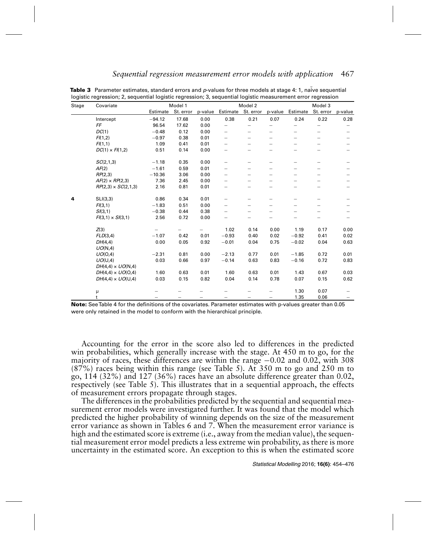| Stage | Covariate                  |          | Model 1   |         |                          | Model 2                  |         |                          | Model 3                  |                   |
|-------|----------------------------|----------|-----------|---------|--------------------------|--------------------------|---------|--------------------------|--------------------------|-------------------|
|       |                            | Estimate | St. error | p-value |                          | Estimate St. error       | p-value | Estimate                 | St. error                | p-value           |
|       | Intercept                  | $-94.12$ | 17.68     | 0.00    | 0.38                     | 0.21                     | 0.07    | 0.24                     | 0.22                     | 0.28              |
|       | FF                         | 96.54    | 17.62     | 0.00    | $\overline{\phantom{0}}$ | $\overline{\phantom{0}}$ |         | $\overline{\phantom{0}}$ | $\overline{\phantom{0}}$ |                   |
|       | DC(1)                      | $-0.48$  | 0.12      | 0.00    | $\overline{\phantom{0}}$ | $\overline{\phantom{0}}$ |         | $\overline{\phantom{0}}$ | -                        | $\qquad \qquad -$ |
|       | FI(1,2)                    | $-0.97$  | 0.38      | 0.01    | $\overline{\phantom{0}}$ | $\overline{\phantom{0}}$ |         |                          |                          |                   |
|       | FI(1,1)                    | 1.09     | 0.41      | 0.01    | $\overline{\phantom{0}}$ | $\overline{\phantom{0}}$ |         | —                        | -                        |                   |
|       | $DC(1) \times FI(1,2)$     | 0.51     | 0.14      | 0.00    |                          |                          |         |                          |                          |                   |
|       | SC(2,1,3)                  | $-1.18$  | 0.35      | 0.00    | $\overline{\phantom{0}}$ |                          |         | —                        | $\overline{\phantom{0}}$ |                   |
|       | AF(2)                      | $-1.61$  | 0.59      | 0.01    | $\overline{\phantom{0}}$ |                          |         |                          |                          |                   |
|       | RP(2,3)                    | $-10.36$ | 3.06      | 0.00    | $\overline{\phantom{0}}$ | $\overline{\phantom{0}}$ |         | $\overline{\phantom{0}}$ | -                        |                   |
|       | $AF(2) \times RP(2,3)$     | 7.36     | 2.45      | 0.00    | $\overline{\phantom{0}}$ | $\overline{\phantom{0}}$ |         |                          |                          |                   |
|       | $RP(2,3) \times SC(2,1,3)$ | 2.16     | 0.81      | 0.01    | $\overline{\phantom{0}}$ |                          |         |                          |                          |                   |
| 4     | SLI(3,3)                   | 0.86     | 0.34      | 0.01    |                          |                          |         |                          | $\overline{\phantom{0}}$ |                   |
|       | FI(3,1)                    | $-1.83$  | 0.51      | 0.00    | $\overline{\phantom{0}}$ |                          |         |                          |                          |                   |
|       | SI(3,1)                    | $-0.38$  | 0.44      | 0.38    | $\overline{\phantom{0}}$ |                          |         |                          |                          |                   |
|       | $FI(3,1) \times SI(3,1)$   | 2.56     | 0.72      | 0.00    |                          |                          |         |                          |                          |                   |
|       | Z(3)                       |          |           |         | 1.02                     | 0.14                     | 0.00    | 1.19                     | 0.17                     | 0.00              |
|       | FLD(3,4)                   | $-1.07$  | 0.42      | 0.01    | $-0.93$                  | 0.40                     | 0.02    | $-0.92$                  | 0.41                     | 0.02              |
|       | DH(4,4)                    | 0.00     | 0.05      | 0.92    | $-0.01$                  | 0.04                     | 0.75    | $-0.02$                  | 0.04                     | 0.63              |
|       | UO(N,4)                    |          |           |         |                          |                          |         |                          |                          |                   |
|       | UO(O,4)                    | $-2.31$  | 0.81      | 0.00    | $-2.13$                  | 0.77                     | 0.01    | $-1.85$                  | 0.72                     | 0.01              |
|       | UO(U,4)                    | 0.03     | 0.66      | 0.97    | $-0.14$                  | 0.63                     | 0.83    | $-0.16$                  | 0.72                     | 0.83              |
|       | $DH(4,4) \times UO(N,4)$   |          |           |         |                          |                          |         |                          |                          |                   |
|       | $DH(4,4) \times UO(0,4)$   | 1.60     | 0.63      | 0.01    | 1.60                     | 0.63                     | 0.01    | 1.43                     | 0.67                     | 0.03              |
|       | $DH(4,4) \times UO(U,4)$   | 0.03     | 0.15      | 0.82    | 0.04                     | 0.14                     | 0.78    | 0.07                     | 0.15                     | 0.62              |
|       | μ                          |          |           |         |                          |                          |         | 1.30                     | 0.07                     |                   |
|       | t                          |          |           |         |                          |                          |         | 1.35                     | 0.06                     |                   |

Table 3 Parameter estimates, standard errors and p-values for three models at stage 4: 1, naïve sequential logistic regression; 2, sequential logistic regression; 3, sequential logistic measurement error regression

**Note:** SeeTable 4 for the definitions of the covariates. Parameter estimates with p-values greater than 0.05 were only retained in the model to conform with the hierarchical principle.

Accounting for the error in the score also led to differences in the predicted win probabilities, which generally increase with the stage. At 450 m to go, for the majority of races, these differences are within the range  $-0.02$  and 0.02, with 308 (87%) races being within this range (see Table 5). At 350 m to go and 250 m to go, 114 (32%) and 127 (36%) races have an absolute difference greater than 0.02, respectively (see Table 5). This illustrates that in a sequential approach, the effects of measurement errors propagate through stages.

The differences in the probabilities predicted by the sequential and sequential measurement error models were investigated further. It was found that the model which predicted the higher probability of winning depends on the size of the measurement error variance as shown in Tables 6 and 7. When the measurement error variance is high and the estimated score is extreme (i.e., away from the median value), the sequential measurement error model predicts a less extreme win probability, as there is more uncertainty in the estimated score. An exception to this is when the estimated score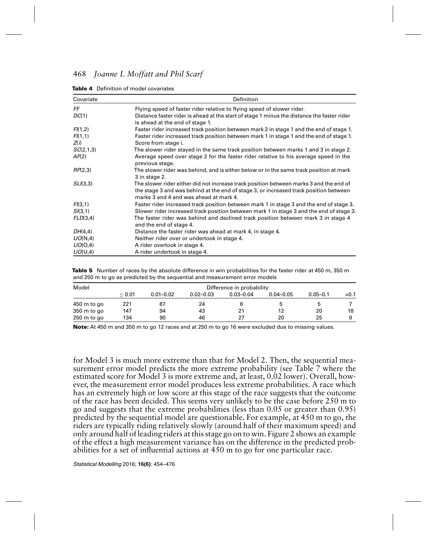| Covariate          | Definition                                                                                                                                                                                                                |
|--------------------|---------------------------------------------------------------------------------------------------------------------------------------------------------------------------------------------------------------------------|
| FF                 | Flying speed of faster rider relative to flying speed of slower rider.                                                                                                                                                    |
| DC(1)              | Distance faster rider is ahead at the start of stage 1 minus the distance the faster rider<br>is ahead at the end of stage 1.                                                                                             |
| FI(1,2)            | Faster rider increased track position between mark 2 in stage 1 and the end of stage 1.                                                                                                                                   |
| FI(1,1)<br>Z(i)    | Faster rider increased track position between mark 1 in stage 1 and the end of stage 1.<br>Score from stage i.                                                                                                            |
| SC(2,1,3)<br>AF(2) | The slower rider stayed in the same track position between marks 1 and 3 in stage 2.<br>Average speed over stage 2 for the faster rider relative to his average speed in the<br>previous stage.                           |
| RP(2,3)            | The slower rider was behind, and is either below or in the same track position at mark<br>3 in stage 2.                                                                                                                   |
| SL(3,3)            | The slower rider either did not increase track position between marks 3 and the end of<br>the stage 3 and was behind at the end of stage 3, or increased track position between<br>marks 3 and 4 and was ahead at mark 4. |
| FI(3,1)            | Faster rider increased track position between mark 1 in stage 3 and the end of stage 3.                                                                                                                                   |
| SI(3,1)            | Slower rider increased track position between mark 1 in stage 3 and the end of stage 3.                                                                                                                                   |
| FLD(3,4)           | The faster rider was behind and declined track position between mark 3 in stage 4<br>and the end of stage 4.                                                                                                              |
| DH(4,4)            | Distance the faster rider was ahead at mark 4, in stage 4.                                                                                                                                                                |
| UO(N,4)            | Neither rider over or undertook in stage 4.                                                                                                                                                                               |
| UO(O,4)            | A rider overtook in stage 4.                                                                                                                                                                                              |
| UO(U,4)            | A rider undertook in stage 4.                                                                                                                                                                                             |

**Table 5** Number of races by the absolute difference in win probabilities for the faster rider at 450 m, 350 m and 250 m to go as predicted by the sequential and measurement error models

| Model                 |        |               |               | Difference in probability |               |              |      |
|-----------------------|--------|---------------|---------------|---------------------------|---------------|--------------|------|
|                       | < 0.01 | $0.01 - 0.02$ | $0.02 - 0.03$ | $0.03 - 0.04$             | $0.04 - 0.05$ | $0.05 - 0.1$ | >0.1 |
| 450 m to go           | 221    | 87            | 24            |                           |               |              |      |
| 350 m to go           | 147    | 94            | 43            | 21                        | 12            | 20           | 18   |
| $250 \text{ m}$ to go | 134    | 90            | 46            | 27                        | 20            | 25           |      |

**Note:** At 450 m and 350 m to go 12 races and at 250 m to go 16 were excluded due to missing values.

for Model 3 is much more extreme than that for Model 2. Then, the sequential measurement error model predicts the more extreme probability (see Table 7 where the estimated score for Model 3 is more extreme and, at least, 0.02 lower). Overall, however, the measurement error model produces less extreme probabilities. A race which has an extremely high or low score at this stage of the race suggests that the outcome of the race has been decided. This seems very unlikely to be the case before 250 m to go and suggests that the extreme probabilities (less than 0.05 or greater than 0.95) predicted by the sequential model are questionable. For example, at 450 m to go, the riders are typically riding relatively slowly (around half of their maximum speed) and only around half of leading riders at this stage go on to win. Figure 2 shows an example of the effect a high measurement variance has on the difference in the predicted probabilities for a set of influential actions at 450 m to go for one particular race.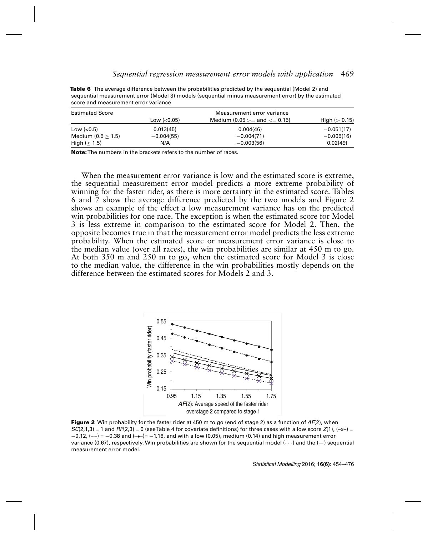| <b>30010 and modellent chemical valiance</b> |              |                                      |                 |
|----------------------------------------------|--------------|--------------------------------------|-----------------|
| <b>Estimated Score</b>                       |              | Measurement error variance           |                 |
|                                              | Low $(0.05)$ | Medium $(0.05 \ge a)$ and $\le 0.15$ | High $(> 0.15)$ |
| Low $(0.5)$                                  | 0.013(45)    | 0.004(46)                            | $-0.051(17)$    |
| Medium $(0.5 > 1.5)$                         | $-0.004(55)$ | $-0.004(71)$                         | $-0.005(16)$    |
| High ( $\geq$ 1.5)                           | N/A          | $-0.003(56)$                         | 0.02(49)        |

**Table 6** The average difference between the probabilities predicted by the sequential (Model 2) and sequential measurement error (Model 3) models (sequential minus measurement error) by the estimated score and measurement error variance

**Note:**The numbers in the brackets refers to the number of races.

When the measurement error variance is low and the estimated score is extreme, the sequential measurement error model predicts a more extreme probability of winning for the faster rider, as there is more certainty in the estimated score. Tables 6 and 7 show the average difference predicted by the two models and Figure 2 shows an example of the effect a low measurement variance has on the predicted win probabilities for one race. The exception is when the estimated score for Model 3 is less extreme in comparison to the estimated score for Model 2. Then, the opposite becomes true in that the measurement error model predicts the less extreme probability. When the estimated score or measurement error variance is close to the median value (over all races), the win probabilities are similar at 450 m to go. At both 350 m and 250 m to go, when the estimated score for Model 3 is close to the median value, the difference in the win probabilities mostly depends on the difference between the estimated scores for Models 2 and 3.



**Figure 2** Win probability for the faster rider at 450 m to go (end of stage 2) as a function of AF(2), when  $SC(2,1,3) = 1$  and  $RP(2,3) = 0$  (see Table 4 for covariate definitions) for three cases with a low score  $Z(1)$ ,  $(-x-) =$  $-0.12$ , (--) =  $-0.38$  and (- $\bullet$ -)=  $-1.16$ , and with a low (0.05), medium (0.14) and high measurement error variance (0.67), respectively. Win probabilities are shown for the sequential model  $\langle \cdots \rangle$  and the  $(-)$  sequential measurement error model.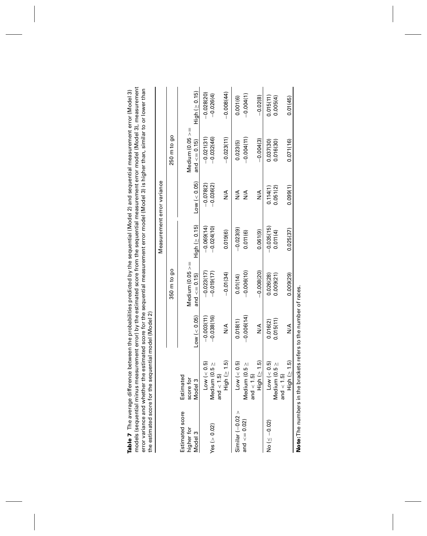| the estimated score for                      | error variance and whether the estimated score for the sequential measurement error model (Model 3) is higher than, similar to or lower than | the sequential model (Model 2)                                                                                 |                                           |                                      |                                                 |                                            |                                       |
|----------------------------------------------|----------------------------------------------------------------------------------------------------------------------------------------------|----------------------------------------------------------------------------------------------------------------|-------------------------------------------|--------------------------------------|-------------------------------------------------|--------------------------------------------|---------------------------------------|
|                                              |                                                                                                                                              |                                                                                                                |                                           |                                      | Measurement error variance                      |                                            |                                       |
|                                              |                                                                                                                                              |                                                                                                                | 350 m to go                               |                                      |                                                 | 250 m to go                                |                                       |
| Estimated score<br>higher for<br>Model 3     | imated<br>re for<br>Model 3<br>scor<br>Esti                                                                                                  | $Low \ (< 0.05)$                                                                                               | Medium ( $0.05 \ge$<br>and $\leq$ = 0.15) | $High ( \geq 0.15)$                  | Low (< 0.05)                                    | Ш<br>Medium ( $0.05 >$<br>and $\lt=0.15$ ) | High (≥ 0.15)                         |
| Yes ( $> 0.02$ )                             | Low (< 0.5)<br>Medium (0.5 ≥<br>< 1.5<br>and                                                                                                 | $-0.038(16)$<br>$-0.003(11)$                                                                                   | $-0.023(17)$<br>$-0.019(17)$              | $-0.024(10)$<br>$-0.069(14)$         | $-0.078(2)$<br>$-0.036(2)$                      | $-0.032(46)$<br>$-0.021(31)$               | $-0.028(20)$<br>$-0.026(4)$           |
|                                              | $High ( \geq 1.5)$                                                                                                                           | ≸                                                                                                              | $-0.01(34)$                               | 0.019(6)                             | ≸                                               | $-0.023(11)$                               | $-0.008(44)$                          |
| Similar $(-0.02 >$<br>and $\texttt{<=}0.02)$ | $High ( \geq 1.5)$<br>Low (< 0.5)<br>Medium (0.5 $\geq$<br>and $<$ 1.5)                                                                      | $-0.006(14)$<br>0.018(1)<br>$\frac{8}{5}$                                                                      | $-0.008(20)$<br>$-0.006(10)$<br>0.01(14)  | $-0.023(9)$<br>0.061(9)<br>0.011(6)  | $\frac{4}{2}$<br>$\frac{4}{2}$<br>$\frac{8}{2}$ | $-0.004(11)$<br>$-0.004(3)$<br>0.023(5)    | $-0.004(1)$<br>$-0.02(8)$<br>0.001(6) |
| No ( $\leq -0.02$ )                          | High (≥ 1.5)<br>Low $(< 0.5)$<br>Medium (0.5 ≥<br>< 1.5<br>and                                                                               | 0.015(11)<br>0.016(2)<br>≸                                                                                     | 0.026(28)<br>0.009(29)<br>0.009(21)       | $-0.035(15)$<br>0.025(37)<br>0.01(4) | 0.051(2)<br>0.099(1)<br>0.114(1)                | 0.071(16)<br>0.037(30)<br>0.016(30)        | 0.005(4)<br>0.01(45)<br>0.015(11      |
| + م: مما مصر من The article of the S         |                                                                                                                                              | con de de la de la de la de la de la de la de la de la de la de la de la de la de la de la de la de la de la d |                                           |                                      |                                                 |                                            |                                       |

Table 7 The average difference between the probabilities predicted by the sequential (Model 2) and sequential measurement error (Model 3)<br>models (sequential minus measurement error) by the estimated score from the sequenti models (sequential minus measurement error) by the estimated score from the sequential measurement error model (Model 3), measurement **Table 7** The average difference between the probabilities predicted by the sequential (Model 2) and sequential measurement error (Model 3)

Note: The numbers in the brackets refers to the number of races. **Note:**The numbers in the brackets refers to the number of races.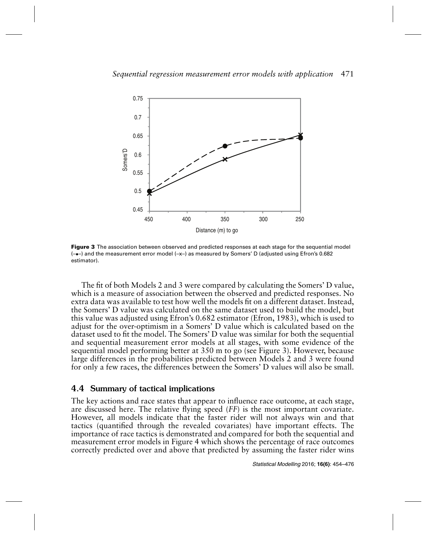

**Figure 3** The association between observed and predicted responses at each stage for the sequential model  $(-\bullet-)$  and the measurement error model  $(-x-)$  as measured by Somers' D (adjusted using Efron's 0.682 estimator).

The fit of both Models 2 and 3 were compared by calculating the Somers' D value, which is a measure of association between the observed and predicted responses. No extra data was available to test how well the models fit on a different dataset. Instead, the Somers' D value was calculated on the same dataset used to build the model, but this value was adjusted using Efron's 0.682 estimator (Efron, 1983), which is used to adjust for the over-optimism in a Somers' D value which is calculated based on the dataset used to fit the model. The Somers' D value was similar for both the sequential and sequential measurement error models at all stages, with some evidence of the sequential model performing better at 350 m to go (see Figure 3). However, because large differences in the probabilities predicted between Models 2 and 3 were found for only a few races, the differences between the Somers' D values will also be small.

#### 4.4 Summary of tactical implications

The key actions and race states that appear to influence race outcome, at each stage, are discussed here. The relative flying speed (*FF*) is the most important covariate. However, all models indicate that the faster rider will not always win and that tactics (quantified through the revealed covariates) have important effects. The importance of race tactics is demonstrated and compared for both the sequential and measurement error models in Figure 4 which shows the percentage of race outcomes correctly predicted over and above that predicted by assuming the faster rider wins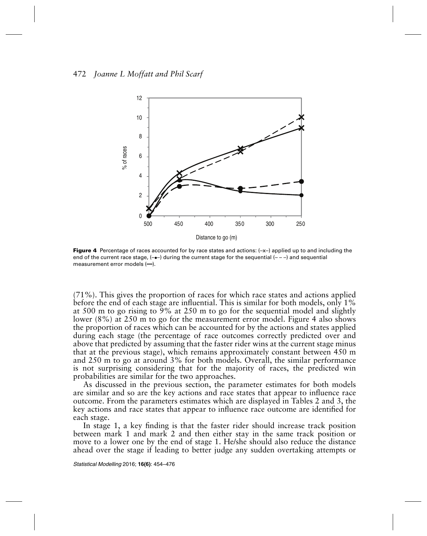

**Figure 4** Percentage of races accounted for by race states and actions:  $(-x-)$  applied up to and including the end of the current race stage,  $(-)$  during the current stage for the sequential  $(-)$  and sequential measurement error models  $(-)$ .

(71%). This gives the proportion of races for which race states and actions applied before the end of each stage are influential. This is similar for both models, only 1% at 500 m to go rising to 9% at 250 m to go for the sequential model and slightly lower (8%) at 250 m to go for the measurement error model. Figure 4 also shows the proportion of races which can be accounted for by the actions and states applied during each stage (the percentage of race outcomes correctly predicted over and above that predicted by assuming that the faster rider wins at the current stage minus that at the previous stage), which remains approximately constant between 450 m and 250 m to go at around 3% for both models. Overall, the similar performance is not surprising considering that for the majority of races, the predicted win probabilities are similar for the two approaches.

As discussed in the previous section, the parameter estimates for both models are similar and so are the key actions and race states that appear to influence race outcome. From the parameters estimates which are displayed in Tables 2 and 3, the key actions and race states that appear to influence race outcome are identified for each stage.

In stage 1, a key finding is that the faster rider should increase track position between mark 1 and mark 2 and then either stay in the same track position or move to a lower one by the end of stage 1. He/she should also reduce the distance ahead over the stage if leading to better judge any sudden overtaking attempts or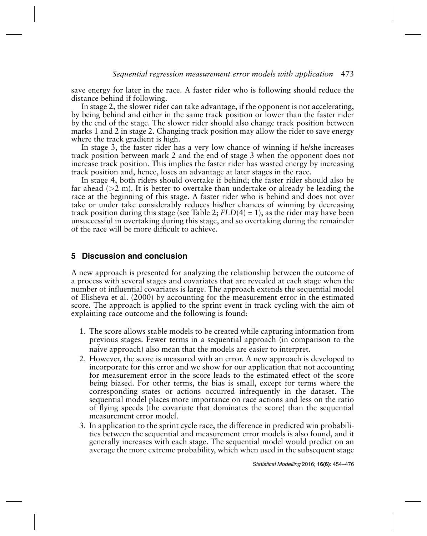save energy for later in the race. A faster rider who is following should reduce the distance behind if following.

In stage 2, the slower rider can take advantage, if the opponent is not accelerating, by being behind and either in the same track position or lower than the faster rider by the end of the stage. The slower rider should also change track position between marks 1 and 2 in stage 2. Changing track position may allow the rider to save energy where the track gradient is high.

In stage 3, the faster rider has a very low chance of winning if he/she increases track position between mark 2 and the end of stage 3 when the opponent does not increase track position. This implies the faster rider has wasted energy by increasing track position and, hence, loses an advantage at later stages in the race.

In stage 4, both riders should overtake if behind; the faster rider should also be far ahead ( $>2$  m). It is better to overtake than undertake or already be leading the race at the beginning of this stage. A faster rider who is behind and does not over take or under take considerably reduces his/her chances of winning by decreasing track position during this stage (see Table 2;  $FLD(4) = 1$ ), as the rider may have been unsuccessful in overtaking during this stage, and so overtaking during the remainder of the race will be more difficult to achieve.

## **5 Discussion and conclusion**

A new approach is presented for analyzing the relationship between the outcome of a process with several stages and covariates that are revealed at each stage when the number of influential covariates is large. The approach extends the sequential model of Elisheva et al. (2000) by accounting for the measurement error in the estimated score. The approach is applied to the sprint event in track cycling with the aim of explaining race outcome and the following is found:

- 1. The score allows stable models to be created while capturing information from previous stages. Fewer terms in a sequential approach (in comparison to the naïve approach) also mean that the models are easier to interpret.
- 2. However, the score is measured with an error. A new approach is developed to incorporate for this error and we show for our application that not accounting for measurement error in the score leads to the estimated effect of the score being biased. For other terms, the bias is small, except for terms where the corresponding states or actions occurred infrequently in the dataset. The sequential model places more importance on race actions and less on the ratio of flying speeds (the covariate that dominates the score) than the sequential measurement error model.
- 3. In application to the sprint cycle race, the difference in predicted win probabilities between the sequential and measurement error models is also found, and it generally increases with each stage. The sequential model would predict on an average the more extreme probability, which when used in the subsequent stage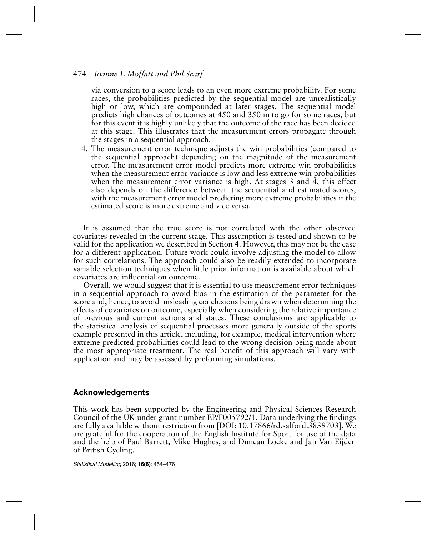via conversion to a score leads to an even more extreme probability. For some races, the probabilities predicted by the sequential model are unrealistically high or low, which are compounded at later stages. The sequential model predicts high chances of outcomes at 450 and 350 m to go for some races, but for this event it is highly unlikely that the outcome of the race has been decided at this stage. This illustrates that the measurement errors propagate through the stages in a sequential approach.

4. The measurement error technique adjusts the win probabilities (compared to the sequential approach) depending on the magnitude of the measurement error. The measurement error model predicts more extreme win probabilities when the measurement error variance is low and less extreme win probabilities when the measurement error variance is high. At stages 3 and 4, this effect also depends on the difference between the sequential and estimated scores, with the measurement error model predicting more extreme probabilities if the estimated score is more extreme and vice versa.

It is assumed that the true score is not correlated with the other observed covariates revealed in the current stage. This assumption is tested and shown to be valid for the application we described in Section 4. However, this may not be the case for a different application. Future work could involve adjusting the model to allow for such correlations. The approach could also be readily extended to incorporate variable selection techniques when little prior information is available about which covariates are influential on outcome.

Overall, we would suggest that it is essential to use measurement error techniques in a sequential approach to avoid bias in the estimation of the parameter for the score and, hence, to avoid misleading conclusions being drawn when determining the effects of covariates on outcome, especially when considering the relative importance of previous and current actions and states. These conclusions are applicable to the statistical analysis of sequential processes more generally outside of the sports example presented in this article, including, for example, medical intervention where extreme predicted probabilities could lead to the wrong decision being made about the most appropriate treatment. The real benefit of this approach will vary with application and may be assessed by preforming simulations.

## **Acknowledgements**

This work has been supported by the Engineering and Physical Sciences Research Council of the UK under grant number EP/F005792/1. Data underlying the findings are fully available without restriction from [DOI: 10.17866/rd.salford.3839703]. We are grateful for the cooperation of the English Institute for Sport for use of the data and the help of Paul Barrett, Mike Hughes, and Duncan Locke and Jan Van Eijden of British Cycling.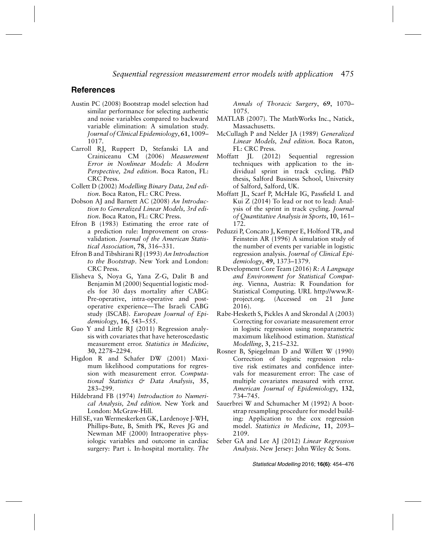#### **References**

- Austin PC (2008) Bootstrap model selection had similar performance for selecting authentic and noise variables compared to backward variable elimination: A simulation study. *Journal of Clinical Epidemiology*, **61**, 1009– 1017.
- Carroll RJ, Ruppert D, Stefanski LA and Crainiceanu CM (2006) *Measurement Error in Nonlinear Models: A Modern Perspective, 2nd edition*. Boca Raton, FL: CRC Press.
- Collett D (2002) *Modelling Binary Data, 2nd edition*. Boca Raton, FL: CRC Press.
- Dobson AJ and Barnett AC (2008) *An Introduction to Generalized Linear Models, 3rd edition*. Boca Raton, FL: CRC Press.
- Efron B (1983) Estimating the error rate of a prediction rule: Improvement on crossvalidation. *Journal of the American Statistical Association*, **78**, 316–331.
- Efron B and Tibshirani RJ (1993) *An Introduction to the Bootstrap*. New York and London: CRC Press.
- Elisheva S, Noya G, Yana Z-G, Dalit B and Benjamin M (2000) Sequential logistic models for 30 days mortality after CABG: Pre-operative, intra-operative and postoperative experience—The Israeli CABG study (ISCAB). *European Journal of Epidemiology*, **16**, 543–555.
- Guo Y and Little RJ (2011) Regression analysis with covariates that have heteroscedastic measurement error. *Statistics in Medicine*, **30**, 2278–2294.
- Higdon R and Schafer DW (2001) Maximum likelihood computations for regression with measurement error. *Computational Statistics & Data Analysis*, **35**, 283–299.
- Hildebrand FB (1974) *Introduction to Numerical Analysis, 2nd edition.* New York and London: McGraw-Hill.
- Hill SE, van Wermeskerken GK, Lardenoye J-WH, Phillips-Bute, B, Smith PK, Reves JG and Newman MF (2000) Intraoperative physiologic variables and outcome in cardiac surgery: Part i. In-hospital mortality. *The*

*Annals of Thoracic Surgery*, **69**, 1070– 1075.

- MATLAB (2007). The MathWorks Inc., Natick, Massachusetts.
- McCullagh P and Nelder JA (1989) *Generalized Linear Models, 2nd edition.* Boca Raton, FL: CRC Press.
- Moffatt JL (2012) Sequential regression techniques with application to the individual sprint in track cycling. PhD thesis, Salford Business School, University of Salford, Salford, UK.
- Moffatt JL, Scarf P, McHale IG, Passfield L and Kui Z (2014) To lead or not to lead: Analysis of the sprint in track cycling. *Journal of Quantitative Analysis in Sports*, **10**, 161– 172.
- Peduzzi P, Concato J, Kemper E, Holford TR, and Feinstein AR (1996) A simulation study of the number of events per variable in logistic regression analysis. *Journal of Clinical Epidemiology*, **49**, 1373–1379.
- R Development Core Team (2016) *R: A Language and Environment for Statistical Computing*. Vienna, Austria: R Foundation for Statistical Computing. URL http://www.Rproject.org. (Accessed on 21 June 2016).
- Rabe-Hesketh S, Pickles A and Skrondal A (2003) Correcting for covariate measurement error in logistic regression using nonparametric maximum likelihood estimation. *Statistical Modelling*, **3**, 215–232.
- Rosner B, Spiegelman D and Willett W (1990) Correction of logistic regression relative risk estimates and confidence intervals for measurement error: The case of multiple covariates measured with error. *American Journal of Epidemiology*, **132**, 734–745.
- Sauerbrei W and Schumacher M (1992) A bootstrap resampling procedure for model building: Application to the cox regression model. *Statistics in Medicine*, **11**, 2093– 2109.
- Seber GA and Lee AJ (2012) *Linear Regression Analysis*. New Jersey: John Wiley & Sons.